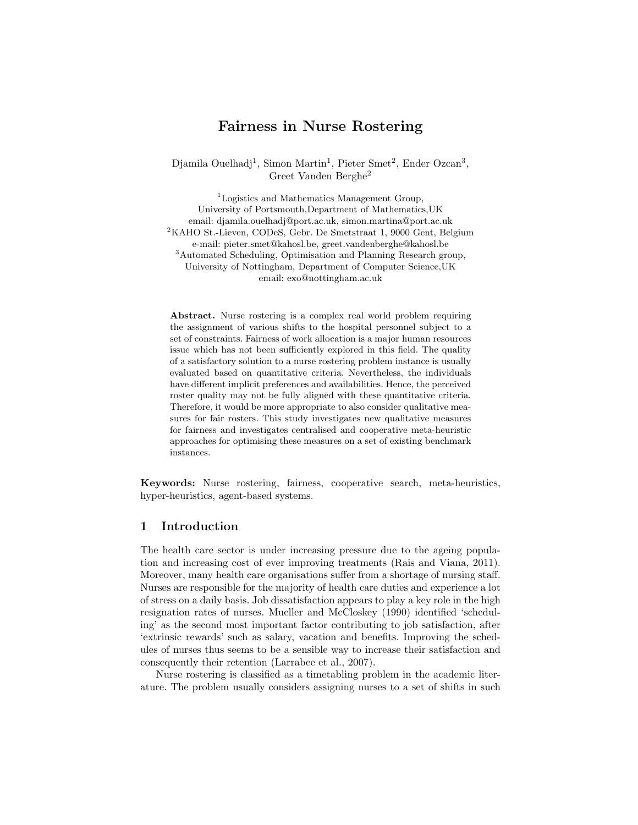## Fairness in Nurse Rostering

Djamila Ouelhadj<sup>1</sup>, Simon Martin<sup>1</sup>, Pieter Smet<sup>2</sup>, Ender Ozcan<sup>3</sup>, Greet Vanden Berghe<sup>2</sup>

<sup>1</sup>Logistics and Mathematics Management Group, University of Portsmouth,Department of Mathematics,UK email: djamila.ouelhadj@port.ac.uk, simon.martina@port.ac.uk <sup>2</sup>KAHO St.-Lieven, CODeS, Gebr. De Smetstraat 1, 9000 Gent, Belgium e-mail: pieter.smet@kahosl.be, greet.vandenberghe@kahosl.be <sup>3</sup>Automated Scheduling, Optimisation and Planning Research group, University of Nottingham, Department of Computer Science,UK email: exo@nottingham.ac.uk

Abstract. Nurse rostering is a complex real world problem requiring the assignment of various shifts to the hospital personnel subject to a set of constraints. Fairness of work allocation is a major human resources issue which has not been sufficiently explored in this field. The quality of a satisfactory solution to a nurse rostering problem instance is usually evaluated based on quantitative criteria. Nevertheless, the individuals have different implicit preferences and availabilities. Hence, the perceived roster quality may not be fully aligned with these quantitative criteria. Therefore, it would be more appropriate to also consider qualitative measures for fair rosters. This study investigates new qualitative measures for fairness and investigates centralised and cooperative meta-heuristic approaches for optimising these measures on a set of existing benchmark instances.

Keywords: Nurse rostering, fairness, cooperative search, meta-heuristics, hyper-heuristics, agent-based systems.

## 1 Introduction

The health care sector is under increasing pressure due to the ageing population and increasing cost of ever improving treatments (Rais and Viana, 2011). Moreover, many health care organisations suffer from a shortage of nursing staff. Nurses are responsible for the majority of health care duties and experience a lot of stress on a daily basis. Job dissatisfaction appears to play a key role in the high resignation rates of nurses. Mueller and McCloskey (1990) identified 'scheduling' as the second most important factor contributing to job satisfaction, after 'extrinsic rewards' such as salary, vacation and benefits. Improving the schedules of nurses thus seems to be a sensible way to increase their satisfaction and consequently their retention (Larrabee et al., 2007).

Nurse rostering is classified as a timetabling problem in the academic literature. The problem usually considers assigning nurses to a set of shifts in such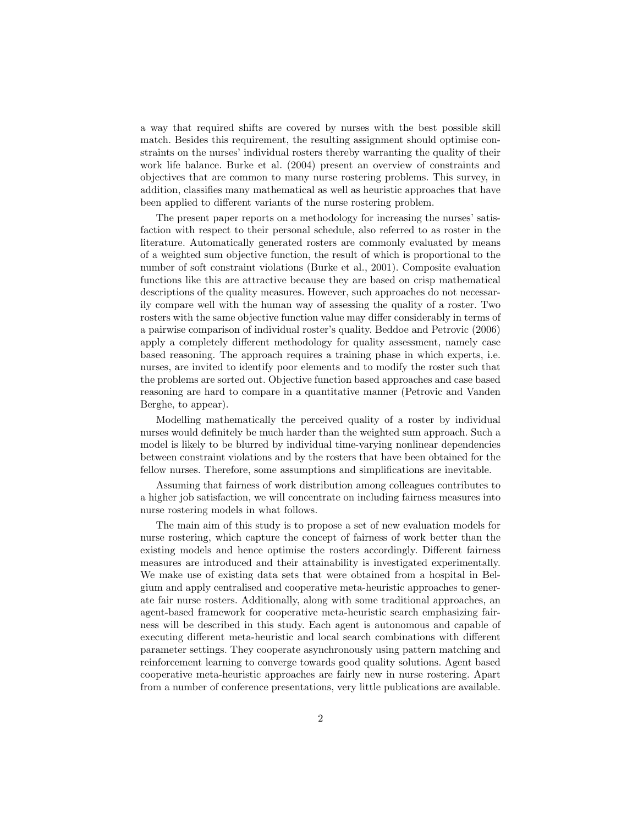a way that required shifts are covered by nurses with the best possible skill match. Besides this requirement, the resulting assignment should optimise constraints on the nurses' individual rosters thereby warranting the quality of their work life balance. Burke et al. (2004) present an overview of constraints and objectives that are common to many nurse rostering problems. This survey, in addition, classifies many mathematical as well as heuristic approaches that have been applied to different variants of the nurse rostering problem.

The present paper reports on a methodology for increasing the nurses' satisfaction with respect to their personal schedule, also referred to as roster in the literature. Automatically generated rosters are commonly evaluated by means of a weighted sum objective function, the result of which is proportional to the number of soft constraint violations (Burke et al., 2001). Composite evaluation functions like this are attractive because they are based on crisp mathematical descriptions of the quality measures. However, such approaches do not necessarily compare well with the human way of assessing the quality of a roster. Two rosters with the same objective function value may differ considerably in terms of a pairwise comparison of individual roster's quality. Beddoe and Petrovic (2006) apply a completely different methodology for quality assessment, namely case based reasoning. The approach requires a training phase in which experts, i.e. nurses, are invited to identify poor elements and to modify the roster such that the problems are sorted out. Objective function based approaches and case based reasoning are hard to compare in a quantitative manner (Petrovic and Vanden Berghe, to appear).

Modelling mathematically the perceived quality of a roster by individual nurses would definitely be much harder than the weighted sum approach. Such a model is likely to be blurred by individual time-varying nonlinear dependencies between constraint violations and by the rosters that have been obtained for the fellow nurses. Therefore, some assumptions and simplifications are inevitable.

Assuming that fairness of work distribution among colleagues contributes to a higher job satisfaction, we will concentrate on including fairness measures into nurse rostering models in what follows.

The main aim of this study is to propose a set of new evaluation models for nurse rostering, which capture the concept of fairness of work better than the existing models and hence optimise the rosters accordingly. Different fairness measures are introduced and their attainability is investigated experimentally. We make use of existing data sets that were obtained from a hospital in Belgium and apply centralised and cooperative meta-heuristic approaches to generate fair nurse rosters. Additionally, along with some traditional approaches, an agent-based framework for cooperative meta-heuristic search emphasizing fairness will be described in this study. Each agent is autonomous and capable of executing different meta-heuristic and local search combinations with different parameter settings. They cooperate asynchronously using pattern matching and reinforcement learning to converge towards good quality solutions. Agent based cooperative meta-heuristic approaches are fairly new in nurse rostering. Apart from a number of conference presentations, very little publications are available.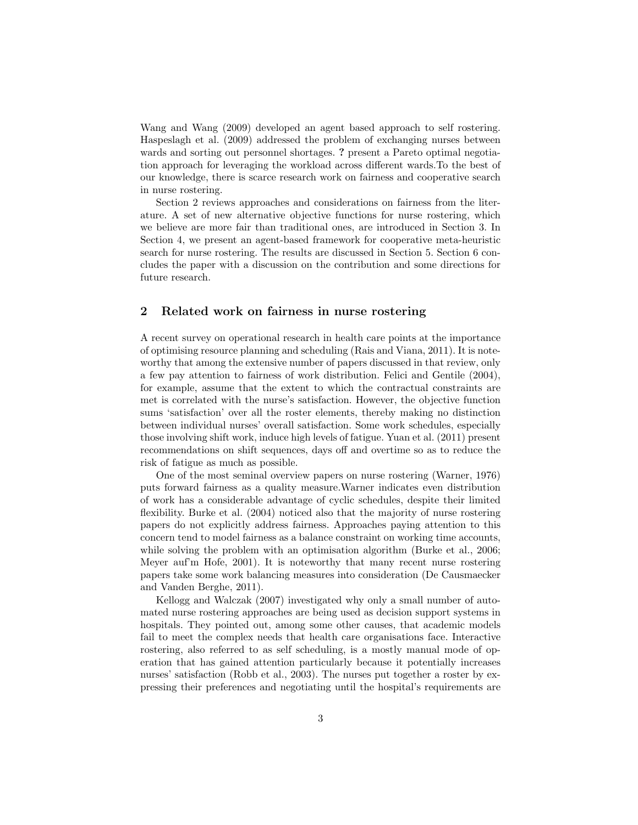Wang and Wang (2009) developed an agent based approach to self rostering. Haspeslagh et al. (2009) addressed the problem of exchanging nurses between wards and sorting out personnel shortages. ? present a Pareto optimal negotiation approach for leveraging the workload across different wards.To the best of our knowledge, there is scarce research work on fairness and cooperative search in nurse rostering.

Section 2 reviews approaches and considerations on fairness from the literature. A set of new alternative objective functions for nurse rostering, which we believe are more fair than traditional ones, are introduced in Section 3. In Section 4, we present an agent-based framework for cooperative meta-heuristic search for nurse rostering. The results are discussed in Section 5. Section 6 concludes the paper with a discussion on the contribution and some directions for future research.

### 2 Related work on fairness in nurse rostering

A recent survey on operational research in health care points at the importance of optimising resource planning and scheduling (Rais and Viana, 2011). It is noteworthy that among the extensive number of papers discussed in that review, only a few pay attention to fairness of work distribution. Felici and Gentile (2004), for example, assume that the extent to which the contractual constraints are met is correlated with the nurse's satisfaction. However, the objective function sums 'satisfaction' over all the roster elements, thereby making no distinction between individual nurses' overall satisfaction. Some work schedules, especially those involving shift work, induce high levels of fatigue. Yuan et al. (2011) present recommendations on shift sequences, days off and overtime so as to reduce the risk of fatigue as much as possible.

One of the most seminal overview papers on nurse rostering (Warner, 1976) puts forward fairness as a quality measure.Warner indicates even distribution of work has a considerable advantage of cyclic schedules, despite their limited flexibility. Burke et al. (2004) noticed also that the majority of nurse rostering papers do not explicitly address fairness. Approaches paying attention to this concern tend to model fairness as a balance constraint on working time accounts, while solving the problem with an optimisation algorithm (Burke et al., 2006; Meyer auf'm Hofe, 2001). It is noteworthy that many recent nurse rostering papers take some work balancing measures into consideration (De Causmaecker and Vanden Berghe, 2011).

Kellogg and Walczak (2007) investigated why only a small number of automated nurse rostering approaches are being used as decision support systems in hospitals. They pointed out, among some other causes, that academic models fail to meet the complex needs that health care organisations face. Interactive rostering, also referred to as self scheduling, is a mostly manual mode of operation that has gained attention particularly because it potentially increases nurses' satisfaction (Robb et al., 2003). The nurses put together a roster by expressing their preferences and negotiating until the hospital's requirements are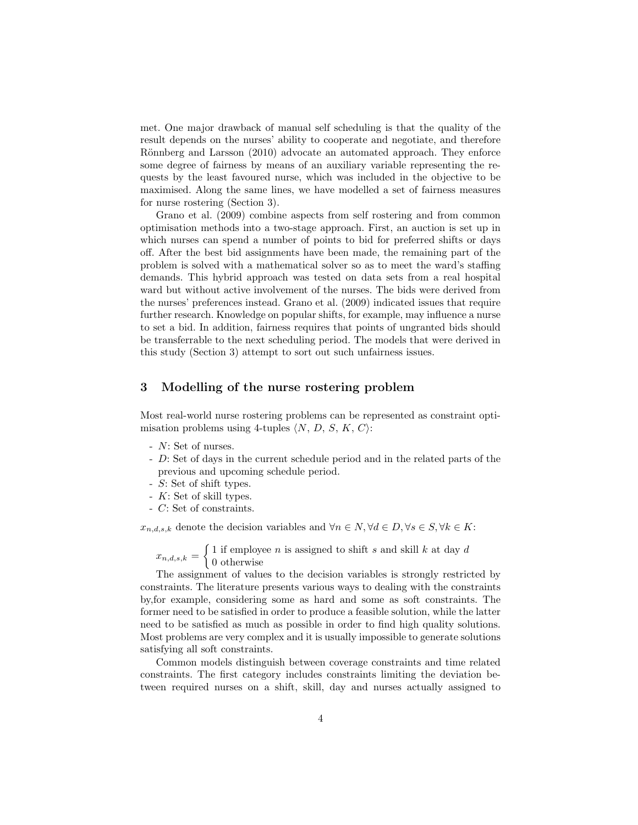met. One major drawback of manual self scheduling is that the quality of the result depends on the nurses' ability to cooperate and negotiate, and therefore Rönnberg and Larsson (2010) advocate an automated approach. They enforce some degree of fairness by means of an auxiliary variable representing the requests by the least favoured nurse, which was included in the objective to be maximised. Along the same lines, we have modelled a set of fairness measures for nurse rostering (Section 3).

Grano et al. (2009) combine aspects from self rostering and from common optimisation methods into a two-stage approach. First, an auction is set up in which nurses can spend a number of points to bid for preferred shifts or days off. After the best bid assignments have been made, the remaining part of the problem is solved with a mathematical solver so as to meet the ward's staffing demands. This hybrid approach was tested on data sets from a real hospital ward but without active involvement of the nurses. The bids were derived from the nurses' preferences instead. Grano et al. (2009) indicated issues that require further research. Knowledge on popular shifts, for example, may influence a nurse to set a bid. In addition, fairness requires that points of ungranted bids should be transferrable to the next scheduling period. The models that were derived in this study (Section 3) attempt to sort out such unfairness issues.

### 3 Modelling of the nurse rostering problem

Most real-world nurse rostering problems can be represented as constraint optimisation problems using 4-tuples  $\langle N, D, S, K, C \rangle$ :

- N: Set of nurses.
- D: Set of days in the current schedule period and in the related parts of the previous and upcoming schedule period.
- S: Set of shift types.
- K: Set of skill types.
- C: Set of constraints.

 $x_{n,d,s,k}$  denote the decision variables and  $\forall n \in \mathbb{N}, \forall d \in \mathbb{D}, \forall s \in \mathbb{S}, \forall k \in \mathbb{K}$ :

 $x_{n,d,s,k} = \begin{cases} 1 \text{ if employee } n \text{ is assigned to shift } s \text{ and skill } k \text{ at day } d \end{cases}$ 0 otherwise

The assignment of values to the decision variables is strongly restricted by constraints. The literature presents various ways to dealing with the constraints by,for example, considering some as hard and some as soft constraints. The former need to be satisfied in order to produce a feasible solution, while the latter need to be satisfied as much as possible in order to find high quality solutions. Most problems are very complex and it is usually impossible to generate solutions satisfying all soft constraints.

Common models distinguish between coverage constraints and time related constraints. The first category includes constraints limiting the deviation between required nurses on a shift, skill, day and nurses actually assigned to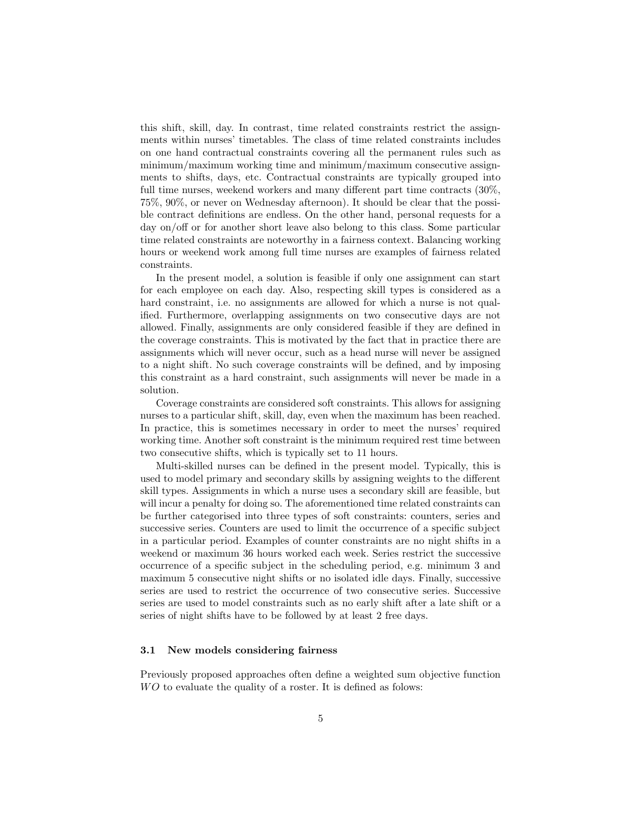this shift, skill, day. In contrast, time related constraints restrict the assignments within nurses' timetables. The class of time related constraints includes on one hand contractual constraints covering all the permanent rules such as minimum/maximum working time and minimum/maximum consecutive assignments to shifts, days, etc. Contractual constraints are typically grouped into full time nurses, weekend workers and many different part time contracts (30%, 75%, 90%, or never on Wednesday afternoon). It should be clear that the possible contract definitions are endless. On the other hand, personal requests for a day on/off or for another short leave also belong to this class. Some particular time related constraints are noteworthy in a fairness context. Balancing working hours or weekend work among full time nurses are examples of fairness related constraints.

In the present model, a solution is feasible if only one assignment can start for each employee on each day. Also, respecting skill types is considered as a hard constraint, i.e. no assignments are allowed for which a nurse is not qualified. Furthermore, overlapping assignments on two consecutive days are not allowed. Finally, assignments are only considered feasible if they are defined in the coverage constraints. This is motivated by the fact that in practice there are assignments which will never occur, such as a head nurse will never be assigned to a night shift. No such coverage constraints will be defined, and by imposing this constraint as a hard constraint, such assignments will never be made in a solution.

Coverage constraints are considered soft constraints. This allows for assigning nurses to a particular shift, skill, day, even when the maximum has been reached. In practice, this is sometimes necessary in order to meet the nurses' required working time. Another soft constraint is the minimum required rest time between two consecutive shifts, which is typically set to 11 hours.

Multi-skilled nurses can be defined in the present model. Typically, this is used to model primary and secondary skills by assigning weights to the different skill types. Assignments in which a nurse uses a secondary skill are feasible, but will incur a penalty for doing so. The aforementioned time related constraints can be further categorised into three types of soft constraints: counters, series and successive series. Counters are used to limit the occurrence of a specific subject in a particular period. Examples of counter constraints are no night shifts in a weekend or maximum 36 hours worked each week. Series restrict the successive occurrence of a specific subject in the scheduling period, e.g. minimum 3 and maximum 5 consecutive night shifts or no isolated idle days. Finally, successive series are used to restrict the occurrence of two consecutive series. Successive series are used to model constraints such as no early shift after a late shift or a series of night shifts have to be followed by at least 2 free days.

#### 3.1 New models considering fairness

Previously proposed approaches often define a weighted sum objective function WO to evaluate the quality of a roster. It is defined as folows: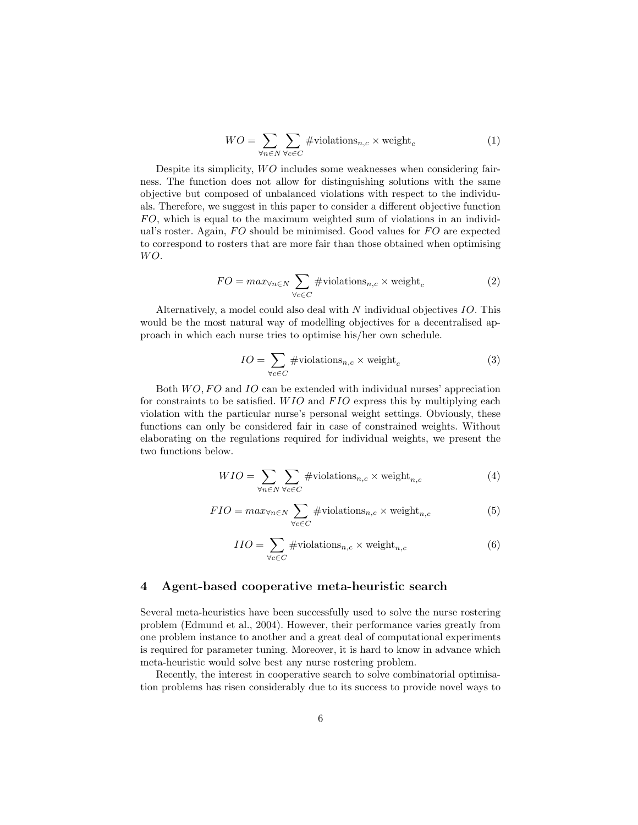$$
WO = \sum_{\forall n \in N} \sum_{\forall c \in C} #\text{violations}_{n,c} \times \text{weight}_c \tag{1}
$$

Despite its simplicity, WO includes some weaknesses when considering fairness. The function does not allow for distinguishing solutions with the same objective but composed of unbalanced violations with respect to the individuals. Therefore, we suggest in this paper to consider a different objective function  $FO$ , which is equal to the maximum weighted sum of violations in an individual's roster. Again,  $FO$  should be minimised. Good values for  $FO$  are expected to correspond to rosters that are more fair than those obtained when optimising  $WO.$ 

$$
FO = max_{\forall n \in N} \sum_{\forall c \in C} #violations_{n,c} \times weight_c
$$
 (2)

Alternatively, a model could also deal with N individual objectives IO. This would be the most natural way of modelling objectives for a decentralised approach in which each nurse tries to optimise his/her own schedule.

$$
IO = \sum_{\forall c \in C} #violations_{n,c} \times weight_c
$$
 (3)

Both  $WO, FO$  and  $IO$  can be extended with individual nurses' appreciation for constraints to be satisfied. WIO and FIO express this by multiplying each violation with the particular nurse's personal weight settings. Obviously, these functions can only be considered fair in case of constrained weights. Without elaborating on the regulations required for individual weights, we present the two functions below.

$$
WIO = \sum_{\forall n \in N} \sum_{\forall c \in C} #\text{violations}_{n,c} \times \text{weight}_{n,c}
$$
 (4)

$$
FIO = max_{\forall n \in N} \sum_{\forall c \in C} #violations_{n,c} \times weight_{n,c}
$$
 (5)

$$
IIO = \sum_{\forall c \in C} #violations_{n,c} \times weight_{n,c}
$$
 (6)

## 4 Agent-based cooperative meta-heuristic search

Several meta-heuristics have been successfully used to solve the nurse rostering problem (Edmund et al., 2004). However, their performance varies greatly from one problem instance to another and a great deal of computational experiments is required for parameter tuning. Moreover, it is hard to know in advance which meta-heuristic would solve best any nurse rostering problem.

Recently, the interest in cooperative search to solve combinatorial optimisation problems has risen considerably due to its success to provide novel ways to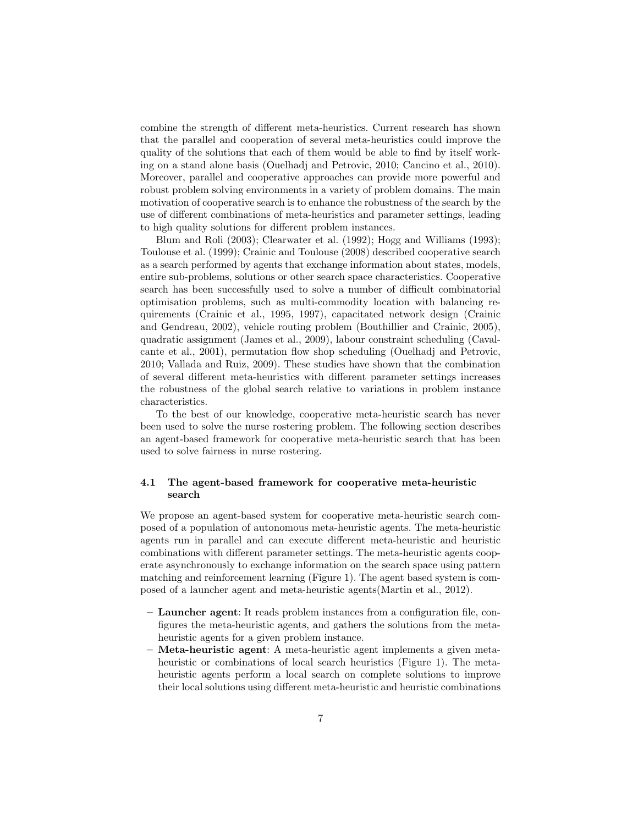combine the strength of different meta-heuristics. Current research has shown that the parallel and cooperation of several meta-heuristics could improve the quality of the solutions that each of them would be able to find by itself working on a stand alone basis (Ouelhadj and Petrovic, 2010; Cancino et al., 2010). Moreover, parallel and cooperative approaches can provide more powerful and robust problem solving environments in a variety of problem domains. The main motivation of cooperative search is to enhance the robustness of the search by the use of different combinations of meta-heuristics and parameter settings, leading to high quality solutions for different problem instances.

Blum and Roli (2003); Clearwater et al. (1992); Hogg and Williams (1993); Toulouse et al. (1999); Crainic and Toulouse (2008) described cooperative search as a search performed by agents that exchange information about states, models, entire sub-problems, solutions or other search space characteristics. Cooperative search has been successfully used to solve a number of difficult combinatorial optimisation problems, such as multi-commodity location with balancing requirements (Crainic et al., 1995, 1997), capacitated network design (Crainic and Gendreau, 2002), vehicle routing problem (Bouthillier and Crainic, 2005), quadratic assignment (James et al., 2009), labour constraint scheduling (Cavalcante et al., 2001), permutation flow shop scheduling (Ouelhadj and Petrovic, 2010; Vallada and Ruiz, 2009). These studies have shown that the combination of several different meta-heuristics with different parameter settings increases the robustness of the global search relative to variations in problem instance characteristics.

To the best of our knowledge, cooperative meta-heuristic search has never been used to solve the nurse rostering problem. The following section describes an agent-based framework for cooperative meta-heuristic search that has been used to solve fairness in nurse rostering.

#### 4.1 The agent-based framework for cooperative meta-heuristic search

We propose an agent-based system for cooperative meta-heuristic search composed of a population of autonomous meta-heuristic agents. The meta-heuristic agents run in parallel and can execute different meta-heuristic and heuristic combinations with different parameter settings. The meta-heuristic agents cooperate asynchronously to exchange information on the search space using pattern matching and reinforcement learning (Figure 1). The agent based system is composed of a launcher agent and meta-heuristic agents(Martin et al., 2012).

- Launcher agent: It reads problem instances from a configuration file, configures the meta-heuristic agents, and gathers the solutions from the metaheuristic agents for a given problem instance.
- Meta-heuristic agent: A meta-heuristic agent implements a given metaheuristic or combinations of local search heuristics (Figure 1). The metaheuristic agents perform a local search on complete solutions to improve their local solutions using different meta-heuristic and heuristic combinations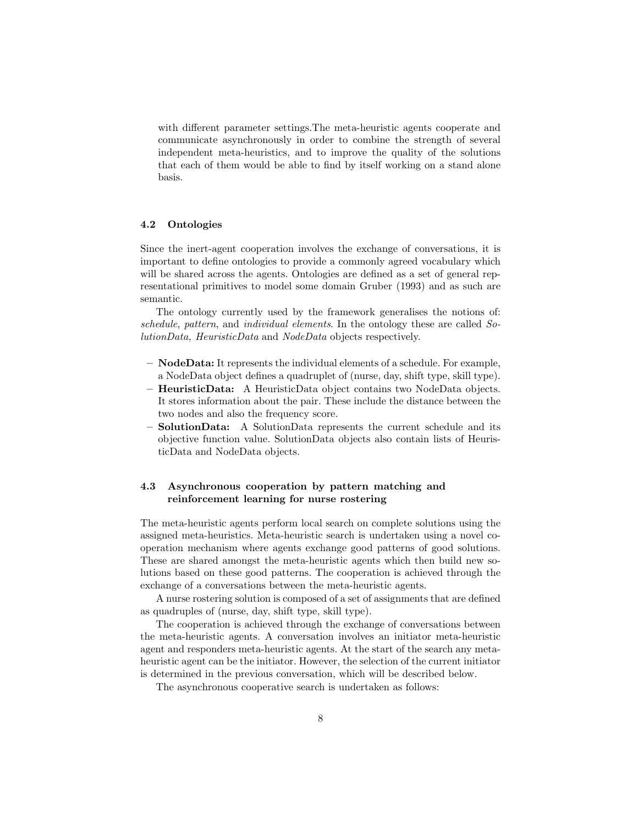with different parameter settings.The meta-heuristic agents cooperate and communicate asynchronously in order to combine the strength of several independent meta-heuristics, and to improve the quality of the solutions that each of them would be able to find by itself working on a stand alone basis.

#### 4.2 Ontologies

Since the inert-agent cooperation involves the exchange of conversations, it is important to define ontologies to provide a commonly agreed vocabulary which will be shared across the agents. Ontologies are defined as a set of general representational primitives to model some domain Gruber (1993) and as such are semantic.

The ontology currently used by the framework generalises the notions of: schedule, pattern, and individual elements. In the ontology these are called SolutionData, HeuristicData and NodeData objects respectively.

- $-$  **NodeData:** It represents the individual elements of a schedule. For example, a NodeData object defines a quadruplet of (nurse, day, shift type, skill type).
- HeuristicData: A HeuristicData object contains two NodeData objects. It stores information about the pair. These include the distance between the two nodes and also the frequency score.
- SolutionData: A SolutionData represents the current schedule and its objective function value. SolutionData objects also contain lists of HeuristicData and NodeData objects.

## 4.3 Asynchronous cooperation by pattern matching and reinforcement learning for nurse rostering

The meta-heuristic agents perform local search on complete solutions using the assigned meta-heuristics. Meta-heuristic search is undertaken using a novel cooperation mechanism where agents exchange good patterns of good solutions. These are shared amongst the meta-heuristic agents which then build new solutions based on these good patterns. The cooperation is achieved through the exchange of a conversations between the meta-heuristic agents.

A nurse rostering solution is composed of a set of assignments that are defined as quadruples of (nurse, day, shift type, skill type).

The cooperation is achieved through the exchange of conversations between the meta-heuristic agents. A conversation involves an initiator meta-heuristic agent and responders meta-heuristic agents. At the start of the search any metaheuristic agent can be the initiator. However, the selection of the current initiator is determined in the previous conversation, which will be described below.

The asynchronous cooperative search is undertaken as follows: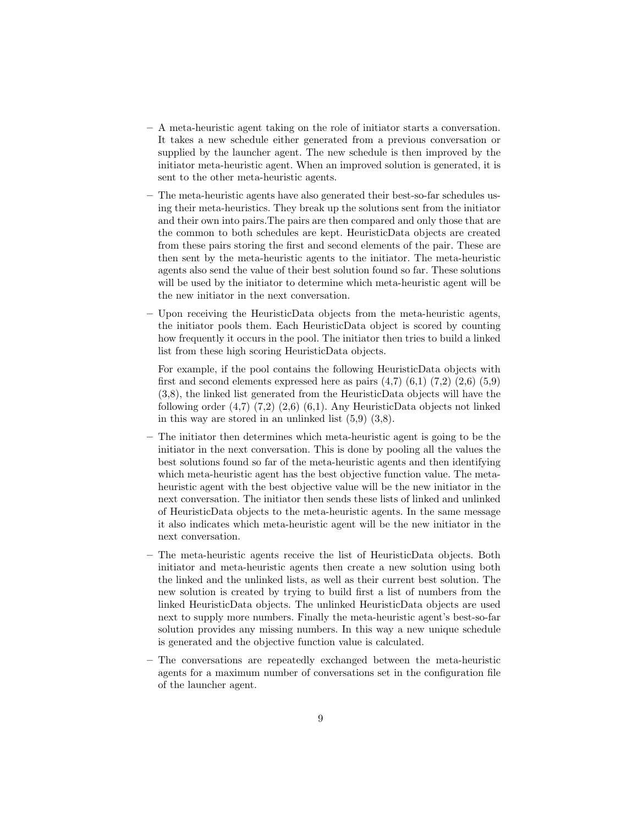- A meta-heuristic agent taking on the role of initiator starts a conversation. It takes a new schedule either generated from a previous conversation or supplied by the launcher agent. The new schedule is then improved by the initiator meta-heuristic agent. When an improved solution is generated, it is sent to the other meta-heuristic agents.
- The meta-heuristic agents have also generated their best-so-far schedules using their meta-heuristics. They break up the solutions sent from the initiator and their own into pairs.The pairs are then compared and only those that are the common to both schedules are kept. HeuristicData objects are created from these pairs storing the first and second elements of the pair. These are then sent by the meta-heuristic agents to the initiator. The meta-heuristic agents also send the value of their best solution found so far. These solutions will be used by the initiator to determine which meta-heuristic agent will be the new initiator in the next conversation.
- Upon receiving the HeuristicData objects from the meta-heuristic agents, the initiator pools them. Each HeuristicData object is scored by counting how frequently it occurs in the pool. The initiator then tries to build a linked list from these high scoring HeuristicData objects.

For example, if the pool contains the following HeuristicData objects with first and second elements expressed here as pairs  $(4,7)$   $(6,1)$   $(7,2)$   $(2,6)$   $(5,9)$ (3,8), the linked list generated from the HeuristicData objects will have the following order  $(4,7)$   $(7,2)$   $(2,6)$   $(6,1)$ . Any HeuristicData objects not linked in this way are stored in an unlinked list (5,9) (3,8).

- The initiator then determines which meta-heuristic agent is going to be the initiator in the next conversation. This is done by pooling all the values the best solutions found so far of the meta-heuristic agents and then identifying which meta-heuristic agent has the best objective function value. The metaheuristic agent with the best objective value will be the new initiator in the next conversation. The initiator then sends these lists of linked and unlinked of HeuristicData objects to the meta-heuristic agents. In the same message it also indicates which meta-heuristic agent will be the new initiator in the next conversation.
- The meta-heuristic agents receive the list of HeuristicData objects. Both initiator and meta-heuristic agents then create a new solution using both the linked and the unlinked lists, as well as their current best solution. The new solution is created by trying to build first a list of numbers from the linked HeuristicData objects. The unlinked HeuristicData objects are used next to supply more numbers. Finally the meta-heuristic agent's best-so-far solution provides any missing numbers. In this way a new unique schedule is generated and the objective function value is calculated.
- The conversations are repeatedly exchanged between the meta-heuristic agents for a maximum number of conversations set in the configuration file of the launcher agent.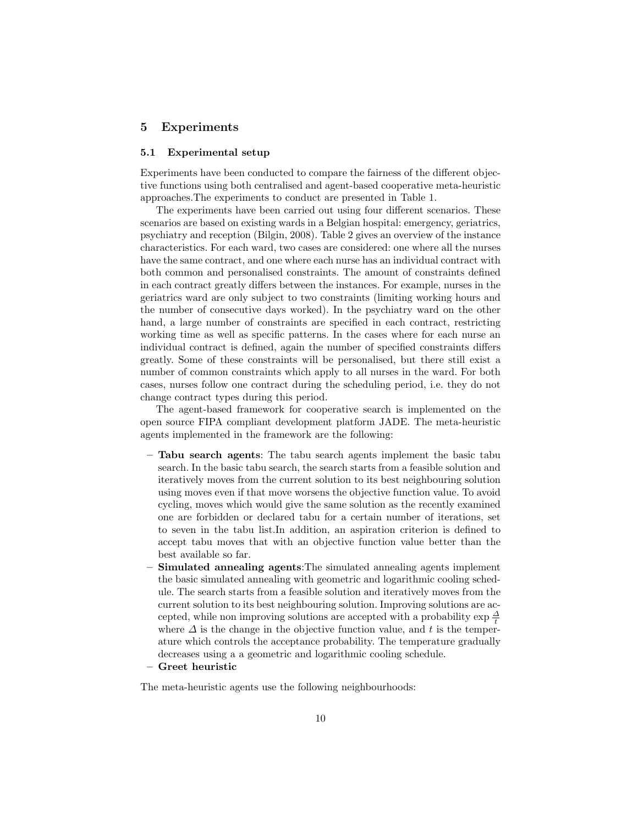### 5 Experiments

#### 5.1 Experimental setup

Experiments have been conducted to compare the fairness of the different objective functions using both centralised and agent-based cooperative meta-heuristic approaches.The experiments to conduct are presented in Table 1.

The experiments have been carried out using four different scenarios. These scenarios are based on existing wards in a Belgian hospital: emergency, geriatrics, psychiatry and reception (Bilgin, 2008). Table 2 gives an overview of the instance characteristics. For each ward, two cases are considered: one where all the nurses have the same contract, and one where each nurse has an individual contract with both common and personalised constraints. The amount of constraints defined in each contract greatly differs between the instances. For example, nurses in the geriatrics ward are only subject to two constraints (limiting working hours and the number of consecutive days worked). In the psychiatry ward on the other hand, a large number of constraints are specified in each contract, restricting working time as well as specific patterns. In the cases where for each nurse an individual contract is defined, again the number of specified constraints differs greatly. Some of these constraints will be personalised, but there still exist a number of common constraints which apply to all nurses in the ward. For both cases, nurses follow one contract during the scheduling period, i.e. they do not change contract types during this period.

The agent-based framework for cooperative search is implemented on the open source FIPA compliant development platform JADE. The meta-heuristic agents implemented in the framework are the following:

- Tabu search agents: The tabu search agents implement the basic tabu search. In the basic tabu search, the search starts from a feasible solution and iteratively moves from the current solution to its best neighbouring solution using moves even if that move worsens the objective function value. To avoid cycling, moves which would give the same solution as the recently examined one are forbidden or declared tabu for a certain number of iterations, set to seven in the tabu list.In addition, an aspiration criterion is defined to accept tabu moves that with an objective function value better than the best available so far.
- Simulated annealing agents: The simulated annealing agents implement the basic simulated annealing with geometric and logarithmic cooling schedule. The search starts from a feasible solution and iteratively moves from the current solution to its best neighbouring solution. Improving solutions are accepted, while non improving solutions are accepted with a probability  $\exp{\frac{\Delta}{t}}$ where  $\Delta$  is the change in the objective function value, and t is the temperature which controls the acceptance probability. The temperature gradually decreases using a a geometric and logarithmic cooling schedule.
- Greet heuristic

The meta-heuristic agents use the following neighbourhoods: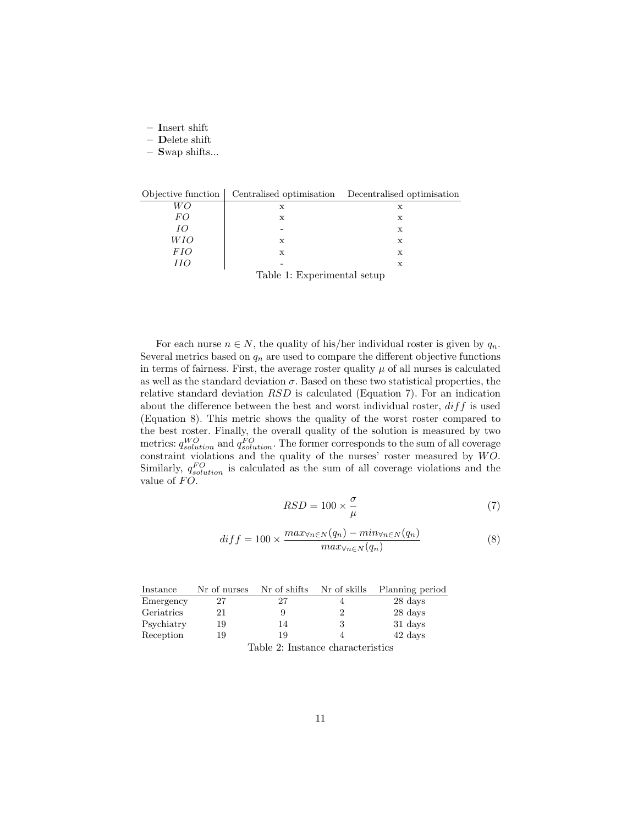- Insert shift
- Delete shift
- Swap shifts...

| Objective function          |   | Centralised optimisation Decentralised optimisation |  |  |
|-----------------------------|---|-----------------------------------------------------|--|--|
| WО                          | х | х                                                   |  |  |
| FO                          | X | х                                                   |  |  |
| IО                          |   | х                                                   |  |  |
| WІО                         | X | $\mathbf x$                                         |  |  |
| <i>FIO</i>                  | X | х                                                   |  |  |
| ИO                          |   | х                                                   |  |  |
| Table 1: Experimental setup |   |                                                     |  |  |

For each nurse  $n \in N$ , the quality of his/her individual roster is given by  $q_n$ . Several metrics based on  $q_n$  are used to compare the different objective functions in terms of fairness. First, the average roster quality  $\mu$  of all nurses is calculated as well as the standard deviation  $\sigma$ . Based on these two statistical properties, the relative standard deviation RSD is calculated (Equation 7). For an indication about the difference between the best and worst individual roster,  $diff$  is used (Equation 8). This metric shows the quality of the worst roster compared to the best roster. Finally, the overall quality of the solution is measured by two metrics:  $q_{solution}^{WO}$  and  $q_{solution}^{FO}$ . The former corresponds to the sum of all coverage constraint violations and the quality of the nurses' roster measured by  $W\ddot{O}$ . Similarly,  $q_{solution}^{FO}$  is calculated as the sum of all coverage violations and the value of  $FO$ .

$$
RSD = 100 \times \frac{\sigma}{\mu} \tag{7}
$$

$$
diff = 100 \times \frac{max_{\forall n \in N}(q_n) - min_{\forall n \in N}(q_n)}{max_{\forall n \in N}(q_n)}
$$
\n(8)

| Instance   | Nr of nurses | Nr of shifts                                                                                                  | Nr of skills | Planning period |
|------------|--------------|---------------------------------------------------------------------------------------------------------------|--------------|-----------------|
| Emergency  | 27           | 27                                                                                                            |              | 28 days         |
| Geriatrics | 21           | У                                                                                                             |              | 28 days         |
| Psychiatry | 19           | 14                                                                                                            |              | 31 days         |
| Reception  | 19           | 19                                                                                                            |              | 42 days         |
|            |              | The Liter Order The Literature of the Literature of the Literature of the Literature of the Literature of the |              |                 |

Table 2: Instance characteristics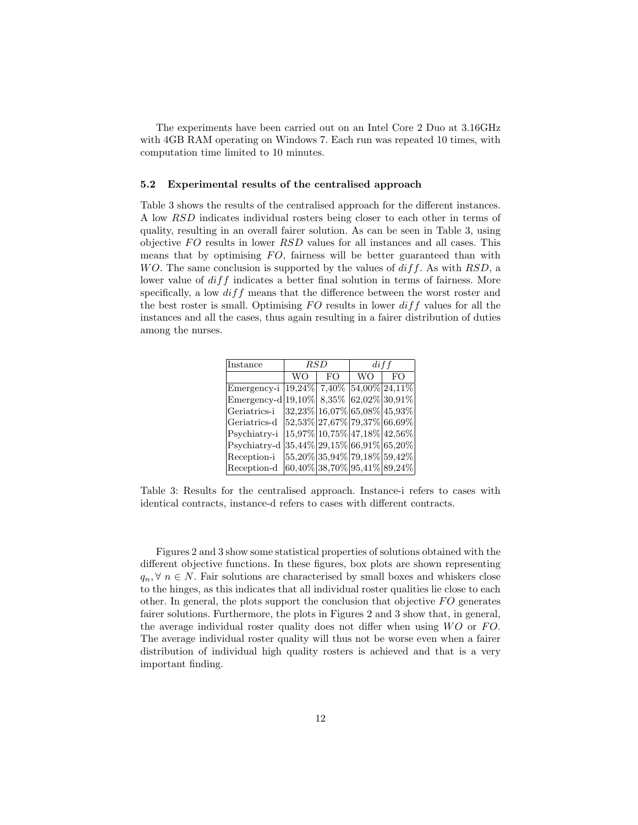The experiments have been carried out on an Intel Core 2 Duo at 3.16GHz with 4GB RAM operating on Windows 7. Each run was repeated 10 times, with computation time limited to 10 minutes.

#### 5.2 Experimental results of the centralised approach

Table 3 shows the results of the centralised approach for the different instances. A low RSD indicates individual rosters being closer to each other in terms of quality, resulting in an overall fairer solution. As can be seen in Table 3, using objective  $FO$  results in lower  $RSD$  values for all instances and all cases. This means that by optimising  $FO$ , fairness will be better guaranteed than with WO. The same conclusion is supported by the values of  $diff$ . As with RSD, a lower value of  $diff$  indicates a better final solution in terms of fairness. More specifically, a low  $diff$  means that the difference between the worst roster and the best roster is small. Optimising  $FO$  results in lower  $diff$  values for all the instances and all the cases, thus again resulting in a fairer distribution of duties among the nurses.

| Instance                                         | $_{RSD}$ |                                    | $\,$ diff |     |  |
|--------------------------------------------------|----------|------------------------------------|-----------|-----|--|
|                                                  | WΟ       | FO.                                | WΟ        | FO. |  |
| Emergency-i                                      |          | $19,24\%$ 7,40% 54,00% 24,11%      |           |     |  |
| Emergency-d $ 19,10\% $ 8,35% $ 62,02\% 30,91\%$ |          |                                    |           |     |  |
| Geriatrics-i                                     |          | $32,23\%$ 16,07\% 65,08\% 45,93\%  |           |     |  |
| Geriatrics-d                                     |          | $ 52,53\% 27,67\% 79,37\% 66,69\%$ |           |     |  |
| Psychiatry-i                                     |          | 15,97% 10,75% 47,18% 42,56%        |           |     |  |
| Psychiatry-d                                     |          | 35,44% 29,15% 66,91% 65,20%        |           |     |  |
| Reception-i                                      |          | 55,20% 35,94% 79,18% 59,42%        |           |     |  |
| Reception-d                                      |          | $ 60,40\% 38,70\% 95,41\% 89,24\%$ |           |     |  |

Table 3: Results for the centralised approach. Instance-i refers to cases with identical contracts, instance-d refers to cases with different contracts.

Figures 2 and 3 show some statistical properties of solutions obtained with the different objective functions. In these figures, box plots are shown representing  $q_n, \forall n \in N$ . Fair solutions are characterised by small boxes and whiskers close to the hinges, as this indicates that all individual roster qualities lie close to each other. In general, the plots support the conclusion that objective  $FO$  generates fairer solutions. Furthermore, the plots in Figures 2 and 3 show that, in general, the average individual roster quality does not differ when using  $WO$  or  $FO$ . The average individual roster quality will thus not be worse even when a fairer distribution of individual high quality rosters is achieved and that is a very important finding.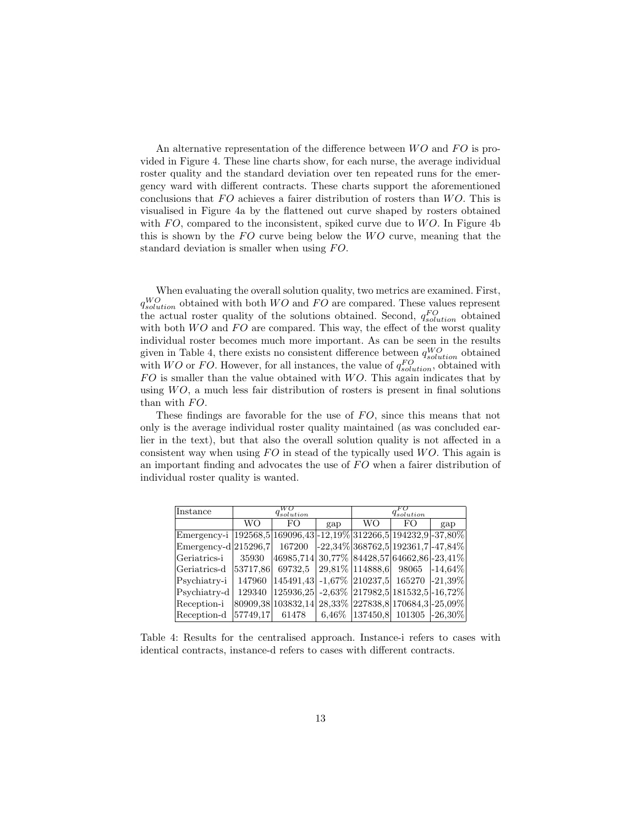An alternative representation of the difference between  $WO$  and  $FO$  is provided in Figure 4. These line charts show, for each nurse, the average individual roster quality and the standard deviation over ten repeated runs for the emergency ward with different contracts. These charts support the aforementioned conclusions that  $FO$  achieves a fairer distribution of rosters than  $WO$ . This is visualised in Figure 4a by the flattened out curve shaped by rosters obtained with  $FO$ , compared to the inconsistent, spiked curve due to  $WO$ . In Figure 4b this is shown by the  $FO$  curve being below the  $WO$  curve, meaning that the standard deviation is smaller when using  $FO$ .

When evaluating the overall solution quality, two metrics are examined. First,  $q_{solution}^{WO}$  obtained with both  $WO$  and  $FO$  are compared. These values represent the actual roster quality of the solutions obtained. Second,  $q_{solution}^{FO}$  obtained with both  $WO$  and  $FO$  are compared. This way, the effect of the worst quality individual roster becomes much more important. As can be seen in the results given in Table 4, there exists no consistent difference between  $q_{solution}^{WO}$  obtained with  $WO$  or  $FO$ . However, for all instances, the value of  $q_{solution}^{FO}$ , obtained with  $FO$  is smaller than the value obtained with  $WO$ . This again indicates that by using  $WO$ , a much less fair distribution of rosters is present in final solutions than with  $FO$ .

These findings are favorable for the use of  $FO$ , since this means that not only is the average individual roster quality maintained (as was concluded earlier in the text), but that also the overall solution quality is not affected in a consistent way when using  $FO$  in stead of the typically used  $WO$ . This again is an important finding and advocates the use of  $FO$  when a fairer distribution of individual roster quality is wanted.

| Instance                                                                     | $q_{solution}^{WO}$ |                                                      |     | $q_{solution}$                                             |     |     |
|------------------------------------------------------------------------------|---------------------|------------------------------------------------------|-----|------------------------------------------------------------|-----|-----|
|                                                                              | WΟ                  | FO                                                   | gap | WΟ                                                         | FO. | gap |
| Emergency-i   192568,5   169096,43   -12,19%   312266,5   194232,9   -37,80% |                     |                                                      |     |                                                            |     |     |
| $\text{Emergency-d} \left  215296, 7 \right $ 167200                         |                     |                                                      |     | $-22,34\%$ 368762,5 192361,7 -47,84%                       |     |     |
| Geriatrics-i                                                                 | 35930               | $ 46985,714 30,77\% 84428,57 64662,86 -23,41\% $     |     |                                                            |     |     |
| Geriatrics-d                                                                 | 53717,86            | $69732,5$ 29,81\% 114888,6 98065 -14,64\%            |     |                                                            |     |     |
| Psychiatry-i                                                                 | 147960              | $ 145491,43 $ -1,67% $ 210237,5 $ 165270 -21,39%     |     |                                                            |     |     |
| Psychiatry-d                                                                 | 129340              | $ 125936,25 $ -2,63% $ 217982,5 181532,5 $ -16,72%   |     |                                                            |     |     |
| Reception-i                                                                  |                     | 80909,38 103832,14 28,33% 227838,8 170684,3 - 25,09% |     |                                                            |     |     |
| Reception-d                                                                  | 57749.17            | 61478                                                |     | $\mid 6,46\% \mid 137450,8 \mid 101305 \mid -26,30\% \mid$ |     |     |

Table 4: Results for the centralised approach. Instance-i refers to cases with identical contracts, instance-d refers to cases with different contracts.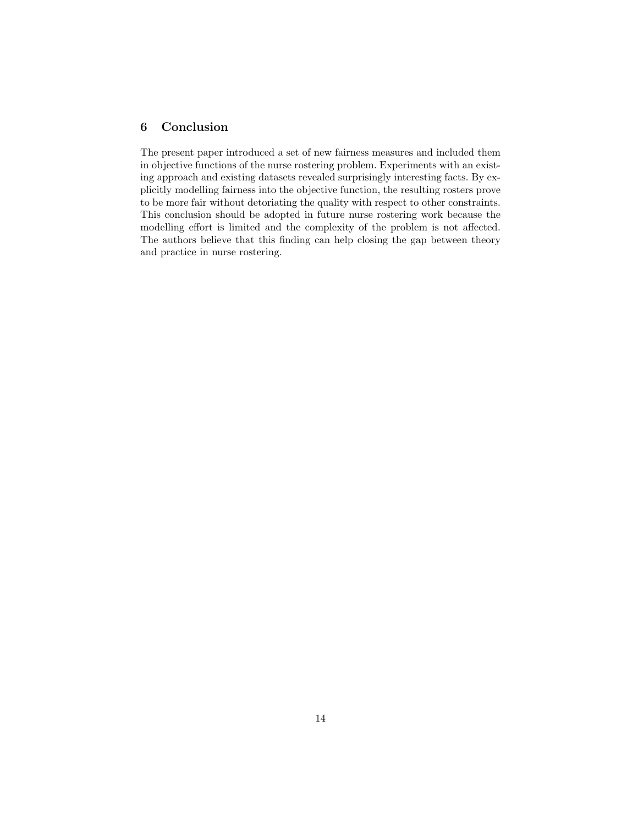## 6 Conclusion

The present paper introduced a set of new fairness measures and included them in objective functions of the nurse rostering problem. Experiments with an existing approach and existing datasets revealed surprisingly interesting facts. By explicitly modelling fairness into the objective function, the resulting rosters prove to be more fair without detoriating the quality with respect to other constraints. This conclusion should be adopted in future nurse rostering work because the modelling effort is limited and the complexity of the problem is not affected. The authors believe that this finding can help closing the gap between theory and practice in nurse rostering.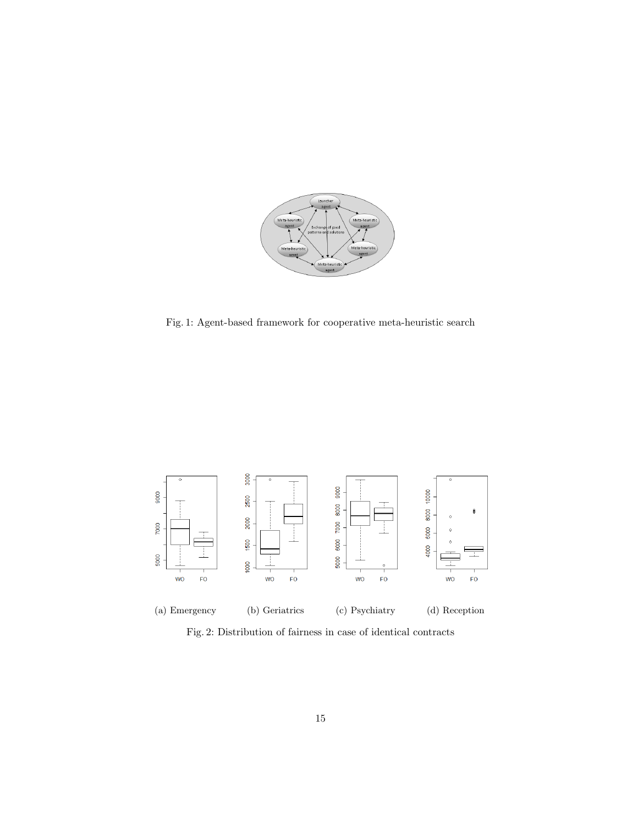

Fig. 1: Agent-based framework for cooperative meta-heuristic search



Fig. 2: Distribution of fairness in case of identical contracts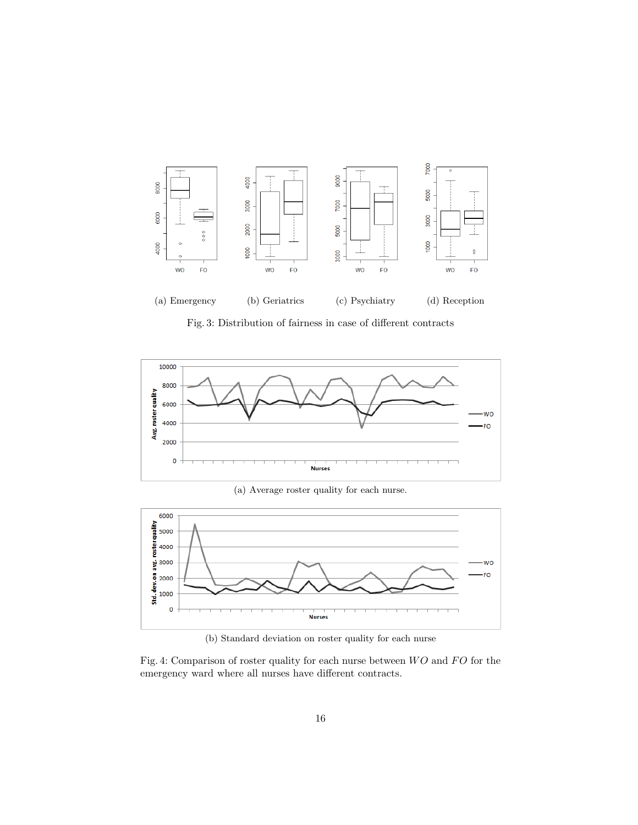

Fig. 3: Distribution of fairness in case of different contracts



(a) Average roster quality for each nurse.



(b) Standard deviation on roster quality for each nurse

Fig. 4: Comparison of roster quality for each nurse between  $WO$  and  $FO$  for the emergency ward where all nurses have different contracts.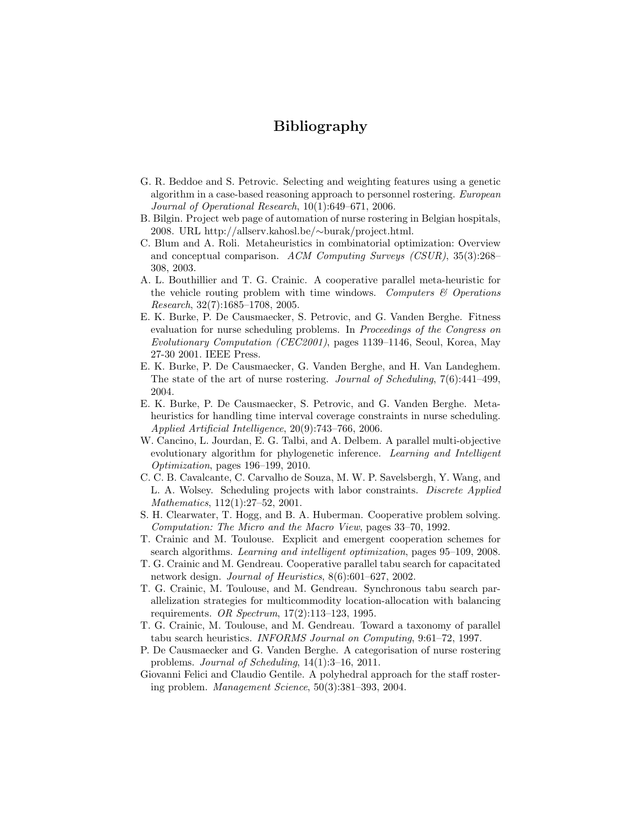# Bibliography

- G. R. Beddoe and S. Petrovic. Selecting and weighting features using a genetic algorithm in a case-based reasoning approach to personnel rostering. European Journal of Operational Research, 10(1):649–671, 2006.
- B. Bilgin. Project web page of automation of nurse rostering in Belgian hospitals, 2008. URL http://allserv.kahosl.be/∼burak/project.html.
- C. Blum and A. Roli. Metaheuristics in combinatorial optimization: Overview and conceptual comparison. ACM Computing Surveys (CSUR), 35(3):268– 308, 2003.
- A. L. Bouthillier and T. G. Crainic. A cooperative parallel meta-heuristic for the vehicle routing problem with time windows. Computers  $\mathcal{C}$  Operations Research, 32(7):1685–1708, 2005.
- E. K. Burke, P. De Causmaecker, S. Petrovic, and G. Vanden Berghe. Fitness evaluation for nurse scheduling problems. In *Proceedings of the Congress on* Evolutionary Computation (CEC2001), pages 1139–1146, Seoul, Korea, May 27-30 2001. IEEE Press.
- E. K. Burke, P. De Causmaecker, G. Vanden Berghe, and H. Van Landeghem. The state of the art of nurse rostering. Journal of Scheduling, 7(6):441–499, 2004.
- E. K. Burke, P. De Causmaecker, S. Petrovic, and G. Vanden Berghe. Metaheuristics for handling time interval coverage constraints in nurse scheduling. Applied Artificial Intelligence, 20(9):743–766, 2006.
- W. Cancino, L. Jourdan, E. G. Talbi, and A. Delbem. A parallel multi-objective evolutionary algorithm for phylogenetic inference. Learning and Intelligent Optimization, pages 196–199, 2010.
- C. C. B. Cavalcante, C. Carvalho de Souza, M. W. P. Savelsbergh, Y. Wang, and L. A. Wolsey. Scheduling projects with labor constraints. Discrete Applied Mathematics, 112(1):27–52, 2001.
- S. H. Clearwater, T. Hogg, and B. A. Huberman. Cooperative problem solving. Computation: The Micro and the Macro View, pages 33–70, 1992.
- T. Crainic and M. Toulouse. Explicit and emergent cooperation schemes for search algorithms. Learning and intelligent optimization, pages 95–109, 2008.
- T. G. Crainic and M. Gendreau. Cooperative parallel tabu search for capacitated network design. *Journal of Heuristics*,  $8(6):601-627$ , 2002.
- T. G. Crainic, M. Toulouse, and M. Gendreau. Synchronous tabu search parallelization strategies for multicommodity location-allocation with balancing requirements. OR Spectrum, 17(2):113–123, 1995.
- T. G. Crainic, M. Toulouse, and M. Gendreau. Toward a taxonomy of parallel tabu search heuristics. INFORMS Journal on Computing, 9:61–72, 1997.
- P. De Causmaecker and G. Vanden Berghe. A categorisation of nurse rostering problems. Journal of Scheduling, 14(1):3–16, 2011.
- Giovanni Felici and Claudio Gentile. A polyhedral approach for the staff rostering problem. Management Science, 50(3):381–393, 2004.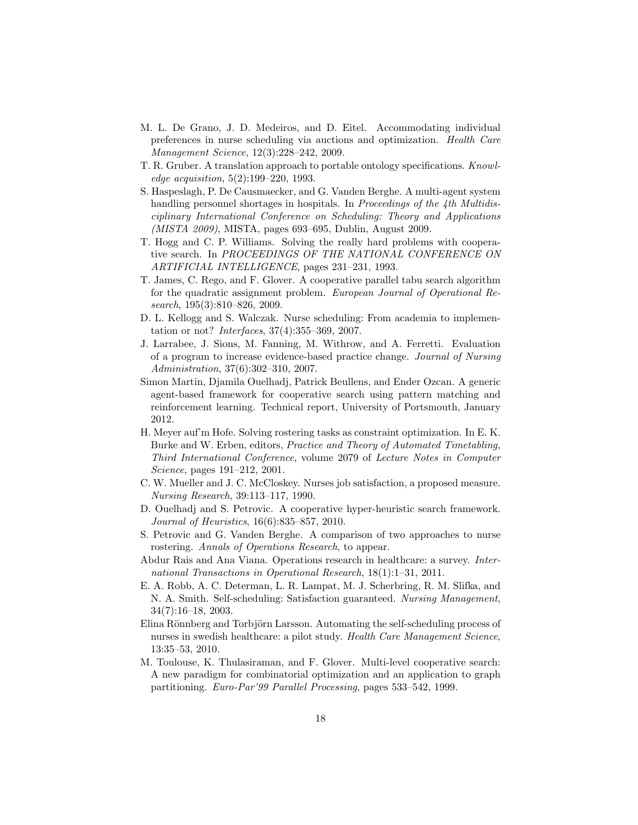- M. L. De Grano, J. D. Medeiros, and D. Eitel. Accommodating individual preferences in nurse scheduling via auctions and optimization. Health Care Management Science, 12(3):228–242, 2009.
- T. R. Gruber. A translation approach to portable ontology specifications. Knowledge acquisition, 5(2):199–220, 1993.
- S. Haspeslagh, P. De Causmaecker, and G. Vanden Berghe. A multi-agent system handling personnel shortages in hospitals. In *Proceedings of the 4th Multidis*ciplinary International Conference on Scheduling: Theory and Applications (MISTA 2009), MISTA, pages 693–695, Dublin, August 2009.
- T. Hogg and C. P. Williams. Solving the really hard problems with cooperative search. In PROCEEDINGS OF THE NATIONAL CONFERENCE ON ARTIFICIAL INTELLIGENCE, pages 231–231, 1993.
- T. James, C. Rego, and F. Glover. A cooperative parallel tabu search algorithm for the quadratic assignment problem. European Journal of Operational Research, 195(3):810–826, 2009.
- D. L. Kellogg and S. Walczak. Nurse scheduling: From academia to implementation or not? Interfaces, 37(4):355–369, 2007.
- J. Larrabee, J. Sions, M. Fanning, M. Withrow, and A. Ferretti. Evaluation of a program to increase evidence-based practice change. Journal of Nursing Administration, 37(6):302–310, 2007.
- Simon Martin, Djamila Ouelhadj, Patrick Beullens, and Ender Ozcan. A generic agent-based framework for cooperative search using pattern matching and reinforcement learning. Technical report, University of Portsmouth, January 2012.
- H. Meyer auf'm Hofe. Solving rostering tasks as constraint optimization. In E. K. Burke and W. Erben, editors, Practice and Theory of Automated Timetabling, Third International Conference, volume 2079 of Lecture Notes in Computer Science, pages 191–212, 2001.
- C. W. Mueller and J. C. McCloskey. Nurses job satisfaction, a proposed measure. Nursing Research, 39:113–117, 1990.
- D. Ouelhadj and S. Petrovic. A cooperative hyper-heuristic search framework. Journal of Heuristics, 16(6):835–857, 2010.
- S. Petrovic and G. Vanden Berghe. A comparison of two approaches to nurse rostering. Annals of Operations Research, to appear.
- Abdur Rais and Ana Viana. Operations research in healthcare: a survey. International Transactions in Operational Research, 18(1):1–31, 2011.
- E. A. Robb, A. C. Determan, L. R. Lampat, M. J. Scherbring, R. M. Slifka, and N. A. Smith. Self-scheduling: Satisfaction guaranteed. Nursing Management, 34(7):16–18, 2003.
- Elina Rönnberg and Torbjörn Larsson. Automating the self-scheduling process of nurses in swedish healthcare: a pilot study. Health Care Management Science, 13:35–53, 2010.
- M. Toulouse, K. Thulasiraman, and F. Glover. Multi-level cooperative search: A new paradigm for combinatorial optimization and an application to graph partitioning. Euro-Par'99 Parallel Processing, pages 533–542, 1999.